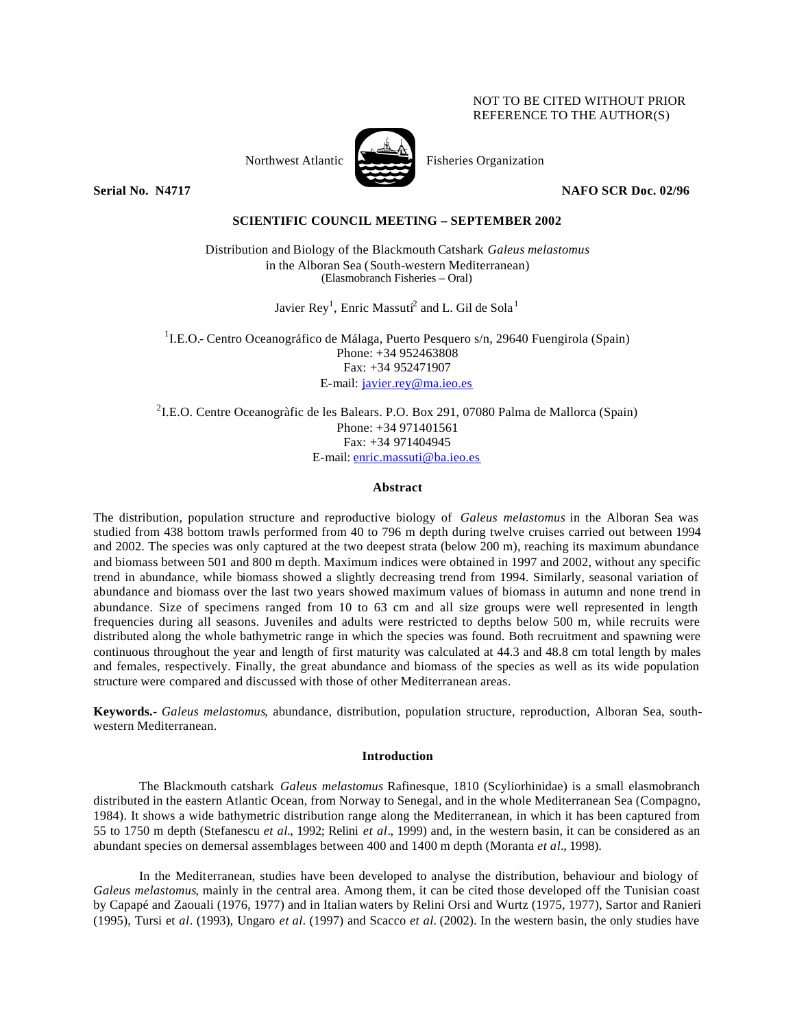## NOT TO BE CITED WITHOUT PRIOR REFERENCE TO THE AUTHOR(S)



Northwest Atlantic Fisheries Organization

**Serial No. N4717 NAFO SCR Doc. 02/96** 

# **SCIENTIFIC COUNCIL MEETING – SEPTEMBER 2002**

Distribution and Biology of the Blackmouth Catshark *Galeus melastomus* in the Alboran Sea (South-western Mediterranean) (Elasmobranch Fisheries – Oral)

Javier Rey<sup>1</sup>, Enric Massuti $^2$  and L. Gil de Sola $^1$ 

<sup>1</sup>I.E.O.- Centro Oceanográfico de Málaga, Puerto Pesquero s/n, 29640 Fuengirola (Spain) Phone: +34 952463808 Fax: +34 952471907 E-mail: javier.rey@ma.ieo.es

<sup>2</sup>I.E.O. Centre Oceanogràfic de les Balears. P.O. Box 291, 07080 Palma de Mallorca (Spain) Phone: +34 971401561 Fax: +34 971404945 E-mail: enric.massuti@ba.ieo.es

## **Abstract**

The distribution, population structure and reproductive biology of *Galeus melastomus* in the Alboran Sea was studied from 438 bottom trawls performed from 40 to 796 m depth during twelve cruises carried out between 1994 and 2002. The species was only captured at the two deepest strata (below 200 m), reaching its maximum abundance and biomass between 501 and 800 m depth. Maximum indices were obtained in 1997 and 2002, without any specific trend in abundance, while biomass showed a slightly decreasing trend from 1994. Similarly, seasonal variation of abundance and biomass over the last two years showed maximum values of biomass in autumn and none trend in abundance. Size of specimens ranged from 10 to 63 cm and all size groups were well represented in length frequencies during all seasons. Juveniles and adults were restricted to depths below 500 m, while recruits were distributed along the whole bathymetric range in which the species was found. Both recruitment and spawning were continuous throughout the year and length of first maturity was calculated at 44.3 and 48.8 cm total length by males and females, respectively. Finally, the great abundance and biomass of the species as well as its wide population structure were compared and discussed with those of other Mediterranean areas.

**Keywords.-** *Galeus melastomus*, abundance, distribution, population structure, reproduction, Alboran Sea, southwestern Mediterranean.

## **Introduction**

The Blackmouth catshark *Galeus melastomus* Rafinesque, 1810 (Scyliorhinidae) is a small elasmobranch distributed in the eastern Atlantic Ocean, from Norway to Senegal, and in the whole Mediterranean Sea (Compagno, 1984). It shows a wide bathymetric distribution range along the Mediterranean, in which it has been captured from 55 to 1750 m depth (Stefanescu *et al.*, 1992; Relini *et al.*, 1999) and, in the western basin, it can be considered as an abundant species on demersal assemblages between 400 and 1400 m depth (Moranta *et al.*, 1998).

In the Mediterranean, studies have been developed to analyse the distribution, behaviour and biology of *Galeus melastomus*, mainly in the central area. Among them, it can be cited those developed off the Tunisian coast by Capapé and Zaouali (1976, 1977) and in Italian waters by Relini Orsi and Wurtz (1975, 1977), Sartor and Ranieri (1995), Tursi et *al*. (1993), Ungaro *et al.* (1997) and Scacco *et al.* (2002). In the western basin, the only studies have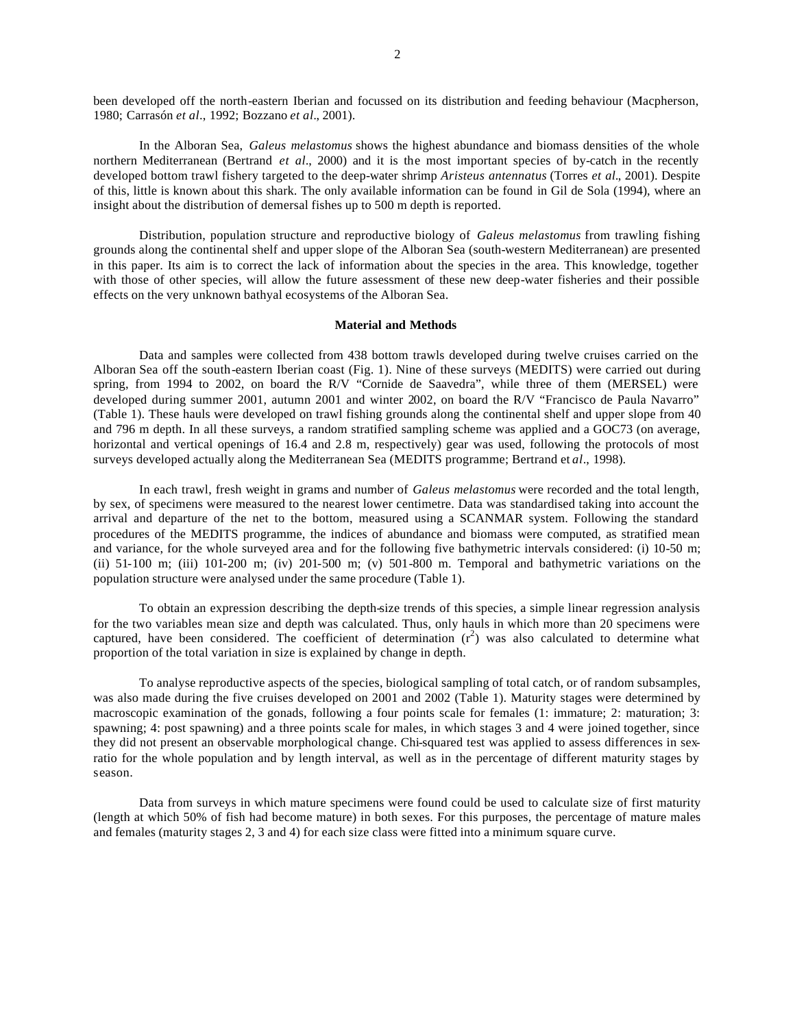been developed off the north-eastern Iberian and focussed on its distribution and feeding behaviour (Macpherson, 1980; Carrasón *et al*., 1992; Bozzano *et al.*, 2001).

In the Alboran Sea, *Galeus melastomus* shows the highest abundance and biomass densities of the whole northern Mediterranean (Bertrand *et al.*, 2000) and it is the most important species of by-catch in the recently developed bottom trawl fishery targeted to the deep-water shrimp *Aristeus antennatus* (Torres *et al.*, 2001). Despite of this, little is known about this shark. The only available information can be found in Gil de Sola (1994), where an insight about the distribution of demersal fishes up to 500 m depth is reported.

Distribution, population structure and reproductive biology of *Galeus melastomus* from trawling fishing grounds along the continental shelf and upper slope of the Alboran Sea (south-western Mediterranean) are presented in this paper. Its aim is to correct the lack of information about the species in the area. This knowledge, together with those of other species, will allow the future assessment of these new deep-water fisheries and their possible effects on the very unknown bathyal ecosystems of the Alboran Sea.

#### **Material and Methods**

Data and samples were collected from 438 bottom trawls developed during twelve cruises carried on the Alboran Sea off the south-eastern Iberian coast (Fig. 1). Nine of these surveys (MEDITS) were carried out during spring, from 1994 to 2002, on board the R/V "Cornide de Saavedra", while three of them (MERSEL) were developed during summer 2001, autumn 2001 and winter 2002, on board the R/V "Francisco de Paula Navarro" (Table 1). These hauls were developed on trawl fishing grounds along the continental shelf and upper slope from 40 and 796 m depth. In all these surveys, a random stratified sampling scheme was applied and a GOC73 (on average, horizontal and vertical openings of 16.4 and 2.8 m, respectively) gear was used, following the protocols of most surveys developed actually along the Mediterranean Sea (MEDITS programme; Bertrand et *al*., 1998).

In each trawl, fresh weight in grams and number of *Galeus melastomus* were recorded and the total length, by sex, of specimens were measured to the nearest lower centimetre. Data was standardised taking into account the arrival and departure of the net to the bottom, measured using a SCANMAR system. Following the standard procedures of the MEDITS programme, the indices of abundance and biomass were computed, as stratified mean and variance, for the whole surveyed area and for the following five bathymetric intervals considered: (i) 10-50 m; (ii) 51-100 m; (iii) 101-200 m; (iv) 201-500 m; (v) 501-800 m. Temporal and bathymetric variations on the population structure were analysed under the same procedure (Table 1).

To obtain an expression describing the depth-size trends of this species, a simple linear regression analysis for the two variables mean size and depth was calculated. Thus, only hauls in which more than 20 specimens were captured, have been considered. The coefficient of determination  $(r^2)$  was also calculated to determine what proportion of the total variation in size is explained by change in depth.

To analyse reproductive aspects of the species, biological sampling of total catch, or of random subsamples, was also made during the five cruises developed on 2001 and 2002 (Table 1). Maturity stages were determined by macroscopic examination of the gonads, following a four points scale for females (1: immature; 2: maturation; 3: spawning; 4: post spawning) and a three points scale for males, in which stages 3 and 4 were joined together, since they did not present an observable morphological change. Chi-squared test was applied to assess differences in sexratio for the whole population and by length interval, as well as in the percentage of different maturity stages by season.

Data from surveys in which mature specimens were found could be used to calculate size of first maturity (length at which 50% of fish had become mature) in both sexes. For this purposes, the percentage of mature males and females (maturity stages 2, 3 and 4) for each size class were fitted into a minimum square curve.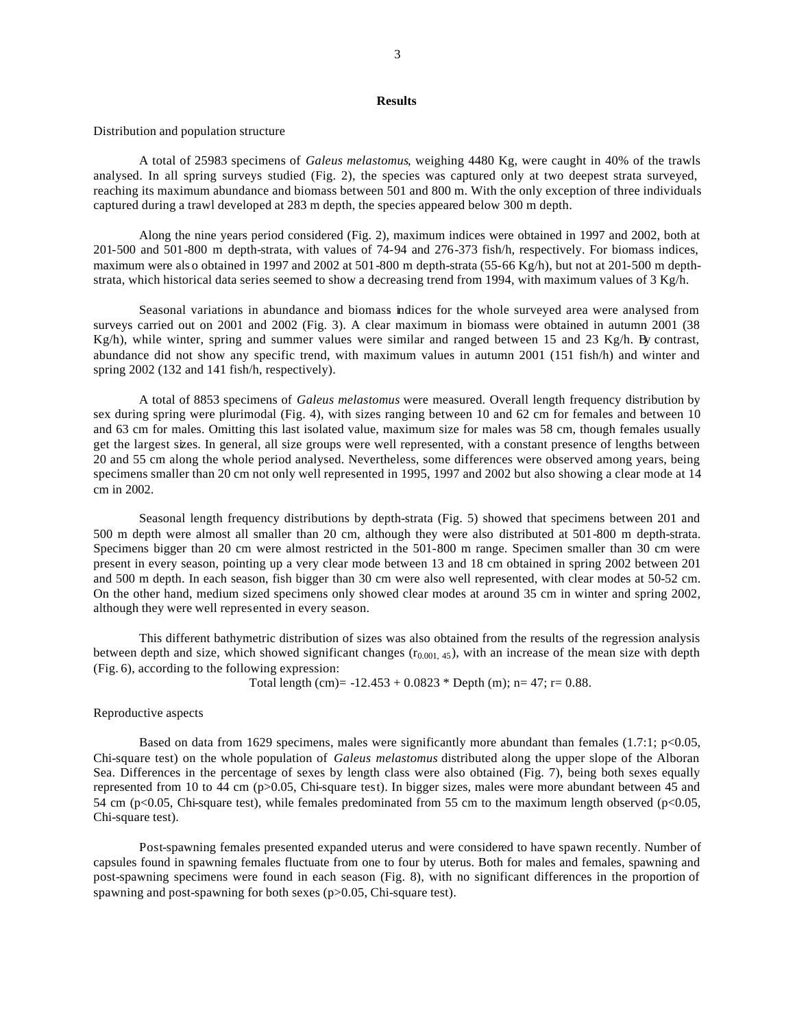## **Results**

Distribution and population structure

A total of 25983 specimens of *Galeus melastomus*, weighing 4480 Kg, were caught in 40% of the trawls analysed. In all spring surveys studied (Fig. 2), the species was captured only at two deepest strata surveyed, reaching its maximum abundance and biomass between 501 and 800 m. With the only exception of three individuals captured during a trawl developed at 283 m depth, the species appeared below 300 m depth.

Along the nine years period considered (Fig. 2), maximum indices were obtained in 1997 and 2002, both at 201-500 and 501-800 m depth-strata, with values of 74-94 and 276-373 fish/h, respectively. For biomass indices, maximum were als o obtained in 1997 and 2002 at 501-800 m depth-strata (55-66 Kg/h), but not at 201-500 m depthstrata, which historical data series seemed to show a decreasing trend from 1994, with maximum values of 3 Kg/h.

Seasonal variations in abundance and biomass indices for the whole surveyed area were analysed from surveys carried out on 2001 and 2002 (Fig. 3). A clear maximum in biomass were obtained in autumn 2001 (38)  $Kg/h$ , while winter, spring and summer values were similar and ranged between 15 and 23 Kg/h. By contrast, abundance did not show any specific trend, with maximum values in autumn 2001 (151 fish/h) and winter and spring 2002 (132 and 141 fish/h, respectively).

A total of 8853 specimens of *Galeus melastomus* were measured. Overall length frequency distribution by sex during spring were plurimodal (Fig. 4), with sizes ranging between 10 and 62 cm for females and between 10 and 63 cm for males. Omitting this last isolated value, maximum size for males was 58 cm, though females usually get the largest sizes. In general, all size groups were well represented, with a constant presence of lengths between 20 and 55 cm along the whole period analysed. Nevertheless, some differences were observed among years, being specimens smaller than 20 cm not only well represented in 1995, 1997 and 2002 but also showing a clear mode at 14 cm in 2002.

Seasonal length frequency distributions by depth-strata (Fig. 5) showed that specimens between 201 and 500 m depth were almost all smaller than 20 cm, although they were also distributed at 501-800 m depth-strata. Specimens bigger than 20 cm were almost restricted in the 501-800 m range. Specimen smaller than 30 cm were present in every season, pointing up a very clear mode between 13 and 18 cm obtained in spring 2002 between 201 and 500 m depth. In each season, fish bigger than 30 cm were also well represented, with clear modes at 50-52 cm. On the other hand, medium sized specimens only showed clear modes at around 35 cm in winter and spring 2002, although they were well represented in every season.

This different bathymetric distribution of sizes was also obtained from the results of the regression analysis between depth and size, which showed significant changes  $(r_{0.001, 45})$ , with an increase of the mean size with depth (Fig. 6), according to the following expression:

Total length (cm) =  $-12.453 + 0.0823$  \* Depth (m); n = 47; r = 0.88.

Reproductive aspects

Based on data from 1629 specimens, males were significantly more abundant than females (1.7:1;  $p<0.05$ , Chi-square test) on the whole population of *Galeus melastomus* distributed along the upper slope of the Alboran Sea. Differences in the percentage of sexes by length class were also obtained (Fig. 7), being both sexes equally represented from 10 to 44 cm (p>0.05, Chi-square test). In bigger sizes, males were more abundant between 45 and 54 cm (p<0.05, Chi-square test), while females predominated from 55 cm to the maximum length observed (p<0.05, Chi-square test).

Post-spawning females presented expanded uterus and were considered to have spawn recently. Number of capsules found in spawning females fluctuate from one to four by uterus. Both for males and females, spawning and post-spawning specimens were found in each season (Fig. 8), with no significant differences in the proportion of spawning and post-spawning for both sexes (p>0.05, Chi-square test).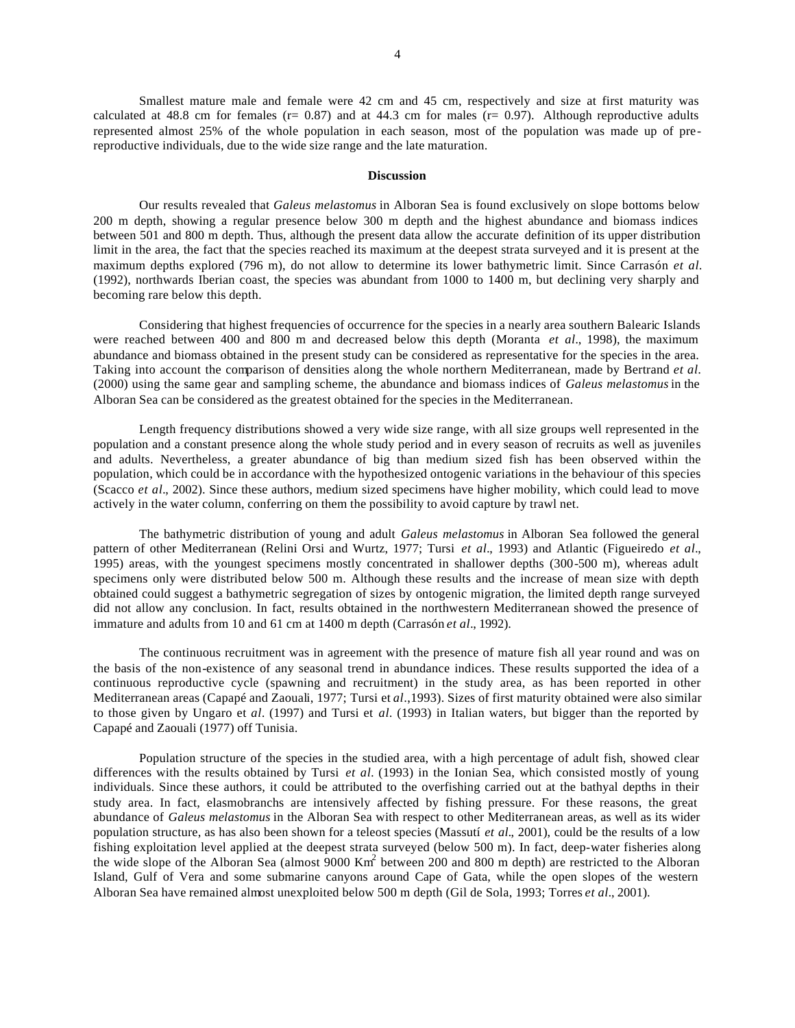Smallest mature male and female were 42 cm and 45 cm, respectively and size at first maturity was calculated at 48.8 cm for females ( $r= 0.87$ ) and at 44.3 cm for males ( $r= 0.97$ ). Although reproductive adults represented almost 25% of the whole population in each season, most of the population was made up of prereproductive individuals, due to the wide size range and the late maturation.

#### **Discussion**

Our results revealed that *Galeus melastomus* in Alboran Sea is found exclusively on slope bottoms below 200 m depth, showing a regular presence below 300 m depth and the highest abundance and biomass indices between 501 and 800 m depth. Thus, although the present data allow the accurate definition of its upper distribution limit in the area, the fact that the species reached its maximum at the deepest strata surveyed and it is present at the maximum depths explored (796 m), do not allow to determine its lower bathymetric limit. Since Carrasón *et al.* (1992), northwards Iberian coast, the species was abundant from 1000 to 1400 m, but declining very sharply and becoming rare below this depth.

Considering that highest frequencies of occurrence for the species in a nearly area southern Balearic Islands were reached between 400 and 800 m and decreased below this depth (Moranta *et al.*, 1998), the maximum abundance and biomass obtained in the present study can be considered as representative for the species in the area. Taking into account the comparison of densities along the whole northern Mediterranean, made by Bertrand *et al.* (2000) using the same gear and sampling scheme, the abundance and biomass indices of *Galeus melastomus* in the Alboran Sea can be considered as the greatest obtained for the species in the Mediterranean.

Length frequency distributions showed a very wide size range, with all size groups well represented in the population and a constant presence along the whole study period and in every season of recruits as well as juveniles and adults. Nevertheless, a greater abundance of big than medium sized fish has been observed within the population, which could be in accordance with the hypothesized ontogenic variations in the behaviour of this species (Scacco *et al.*, 2002). Since these authors, medium sized specimens have higher mobility, which could lead to move actively in the water column, conferring on them the possibility to avoid capture by trawl net.

The bathymetric distribution of young and adult *Galeus melastomus* in Alboran Sea followed the general pattern of other Mediterranean (Relini Orsi and Wurtz, 1977; Tursi *et al.*, 1993) and Atlantic (Figueiredo *et al.*, 1995) areas, with the youngest specimens mostly concentrated in shallower depths (300-500 m), whereas adult specimens only were distributed below 500 m. Although these results and the increase of mean size with depth obtained could suggest a bathymetric segregation of sizes by ontogenic migration, the limited depth range surveyed did not allow any conclusion. In fact, results obtained in the northwestern Mediterranean showed the presence of immature and adults from 10 and 61 cm at 1400 m depth (Carrasón *et al.*, 1992).

The continuous recruitment was in agreement with the presence of mature fish all year round and was on the basis of the non-existence of any seasonal trend in abundance indices. These results supported the idea of a continuous reproductive cycle (spawning and recruitment) in the study area, as has been reported in other Mediterranean areas (Capapé and Zaouali, 1977; Tursi et *al*.,1993). Sizes of first maturity obtained were also similar to those given by Ungaro et *al.* (1997) and Tursi et *al.* (1993) in Italian waters, but bigger than the reported by Capapé and Zaouali (1977) off Tunisia.

Population structure of the species in the studied area, with a high percentage of adult fish, showed clear differences with the results obtained by Tursi *et al.* (1993) in the Ionian Sea, which consisted mostly of young individuals. Since these authors, it could be attributed to the overfishing carried out at the bathyal depths in their study area. In fact, elasmobranchs are intensively affected by fishing pressure. For these reasons, the great abundance of *Galeus melastomus* in the Alboran Sea with respect to other Mediterranean areas, as well as its wider population structure, as has also been shown for a teleost species (Massutí *et al.*, 2001), could be the results of a low fishing exploitation level applied at the deepest strata surveyed (below 500 m). In fact, deep-water fisheries along the wide slope of the Alboran Sea (almost 9000 Km<sup>2</sup> between 200 and 800 m depth) are restricted to the Alboran Island, Gulf of Vera and some submarine canyons around Cape of Gata, while the open slopes of the western Alboran Sea have remained almost unexploited below 500 m depth (Gil de Sola, 1993; Torres *et al.*, 2001).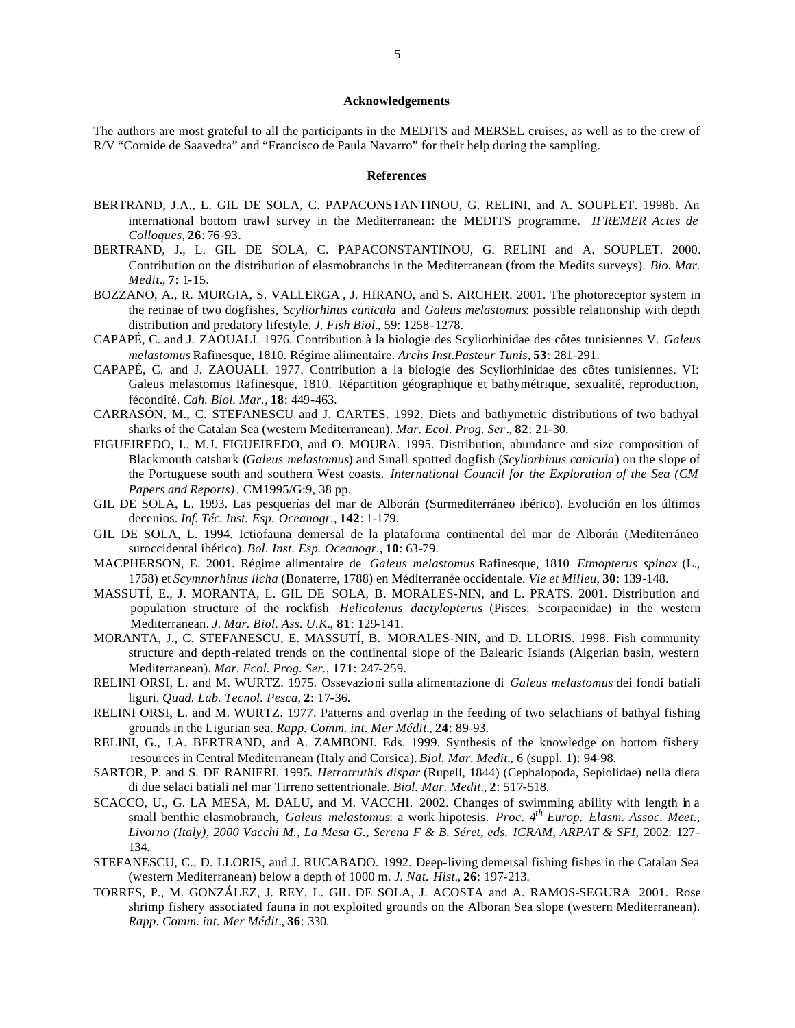#### **Acknowledgements**

The authors are most grateful to all the participants in the MEDITS and MERSEL cruises, as well as to the crew of R/V "Cornide de Saavedra" and "Francisco de Paula Navarro" for their help during the sampling.

#### **References**

- BERTRAND, J.A., L. GIL DE SOLA, C. PAPACONSTANTINOU, G. RELINI, and A. SOUPLET. 1998b. An international bottom trawl survey in the Mediterranean: the MEDITS programme. *IFREMER Actes de Colloques*, **26**: 76-93.
- BERTRAND, J., L. GIL DE SOLA, C. PAPACONSTANTINOU, G. RELINI and A. SOUPLET. 2000. Contribution on the distribution of elasmobranchs in the Mediterranean (from the Medits surveys). *Bio. Mar. Medit*., **7**: 1-15.
- BOZZANO, A., R. MURGIA, S. VALLERGA , J. HIRANO, and S. ARCHER. 2001. The photoreceptor system in the retinae of two dogfishes, *Scyliorhinus canicula* and *Galeus melastomus*: possible relationship with depth distribution and predatory lifestyle. *J. Fish Biol.*, 59: 1258-1278.
- CAPAPÉ, C. and J. ZAOUALI. 1976. Contribution à la biologie des Scyliorhinidae des côtes tunisiennes V. *Galeus melastomus* Rafinesque, 1810. Régime alimentaire. *Archs Inst.Pasteur Tunis*, **53**: 281-291.
- CAPAPÉ, C. and J. ZAOUALI. 1977. Contribution a la biologie des Scyliorhinidae des côtes tunisiennes. VI: Galeus melastomus Rafinesque, 1810. Répartition géographique et bathymétrique, sexualité, reproduction, fécondité. *Cah. Biol. Mar.*, **18**: 449-463.
- CARRASÓN, M., C. STEFANESCU and J. CARTES. 1992. Diets and bathymetric distributions of two bathyal sharks of the Catalan Sea (western Mediterranean). *Mar. Ecol. Prog. Ser*., **82**: 21-30.
- FIGUEIREDO, I., M.J. FIGUEIREDO, and O. MOURA. 1995. Distribution, abundance and size composition of Blackmouth catshark (*Galeus melastomus*) and Small spotted dogfish (*Scyliorhinus canicula*) on the slope of the Portuguese south and southern West coasts. *International Council for the Exploration of the Sea (CM Papers and Reports)*, CM1995/G:9, 38 pp.
- GIL DE SOLA, L. 1993. Las pesquerías del mar de Alborán (Surmediterráneo ibérico). Evolución en los últimos decenios. *Inf. Téc. Inst. Esp. Oceanogr.*, **142**: 1-179.
- GIL DE SOLA, L. 1994. Ictiofauna demersal de la plataforma continental del mar de Alborán (Mediterráneo suroccidental ibérico). *Bol. Inst. Esp. Oceanogr.*, **10**: 63-79.
- MACPHERSON, E. 2001. Régime alimentaire de *Galeus melastomus* Rafinesque, 1810 *Etmopterus spinax* (L., 1758) et *Scymnorhinus licha* (Bonaterre, 1788) en Méditerranée occidentale. *Vie et Milieu*, **30**: 139-148.
- MASSUTÍ, E., J. MORANTA, L. GIL DE SOLA, B. MORALES-NIN, and L. PRATS. 2001. Distribution and population structure of the rockfish *Helicolenus dactylopterus* (Pisces: Scorpaenidae) in the western Mediterranean. *J. Mar. Biol. Ass. U.K.*, **81**: 129-141.
- MORANTA, J., C. STEFANESCU, E. MASSUTÍ, B. MORALES-NIN, and D. LLORIS. 1998. Fish community structure and depth-related trends on the continental slope of the Balearic Islands (Algerian basin, western Mediterranean). *Mar. Ecol. Prog. Ser.*, **171**: 247-259.
- RELINI ORSI, L. and M. WURTZ. 1975. Ossevazioni sulla alimentazione di *Galeus melastomus* dei fondi batiali liguri. *Quad. Lab. Tecnol. Pesca*, **2**: 17-36.
- RELINI ORSI, L. and M. WURTZ. 1977. Patterns and overlap in the feeding of two selachians of bathyal fishing grounds in the Ligurian sea. *Rapp. Comm. int. Mer Médit.*, **24**: 89-93.
- RELINI, G., J.A. BERTRAND, and A. ZAMBONI. Eds. 1999. Synthesis of the knowledge on bottom fishery resources in Central Mediterranean (Italy and Corsica). *Biol. Mar. Medit.*, 6 (suppl. 1): 94-98.
- SARTOR, P. and S. DE RANIERI. 1995. *Hetrotruthis dispar* (Rupell, 1844) (Cephalopoda, Sepiolidae) nella dieta di due selaci batiali nel mar Tirreno settentrionale. *Biol. Mar. Medit*., **2**: 517-518.
- SCACCO, U., G. LA MESA, M. DALU, and M. VACCHI. 2002. Changes of swimming ability with length in a small benthic elasmobranch, *Galeus melastomus*: a work hipotesis. *Proc. 4th Europ. Elasm. Assoc. Meet., Livorno (Italy), 2000 Vacchi M., La Mesa G., Serena F & B. Séret, eds. ICRAM, ARPAT & SFI*, 2002: 127- 134.
- STEFANESCU, C., D. LLORIS, and J. RUCABADO. 1992. Deep-living demersal fishing fishes in the Catalan Sea (western Mediterranean) below a depth of 1000 m. *J. Nat. Hist.*, **26**: 197-213.
- TORRES, P., M. GONZÁLEZ, J. REY, L. GIL DE SOLA, J. ACOSTA and A. RAMOS-SEGURA 2001. Rose shrimp fishery associated fauna in not exploited grounds on the Alboran Sea slope (western Mediterranean). *Rapp. Comm. int. Mer Médit*., **36**: 330.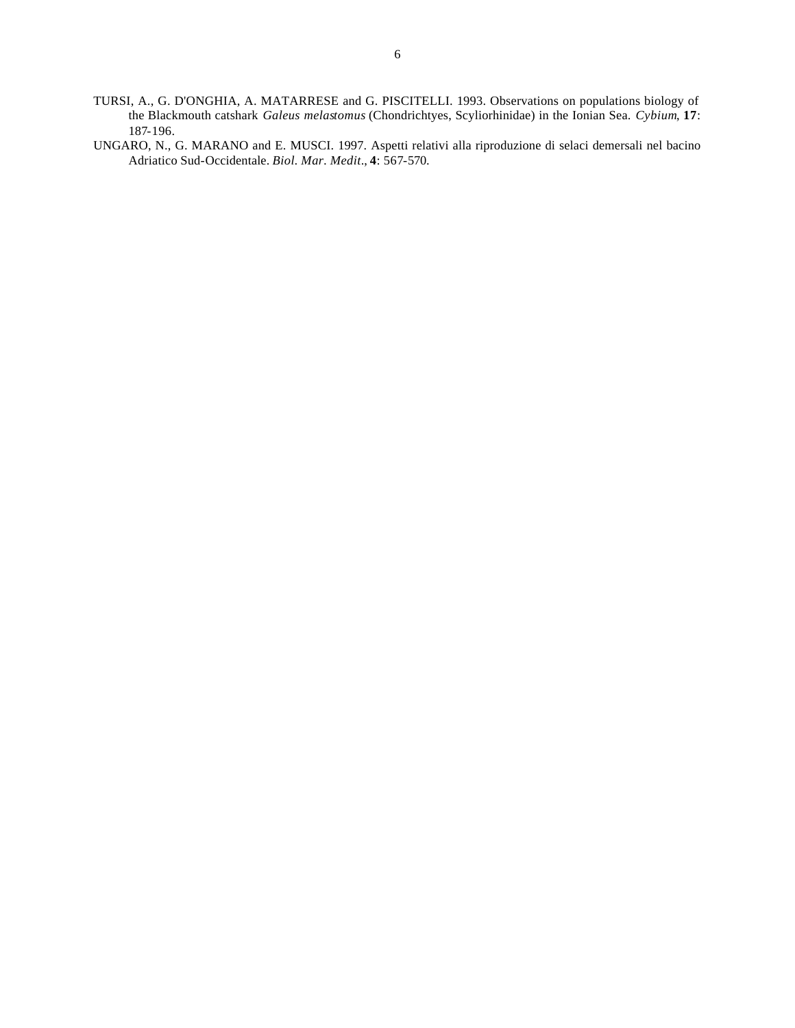- TURSI, A., G. D'ONGHIA, A. MATARRESE and G. PISCITELLI. 1993. Observations on populations biology of the Blackmouth catshark *Galeus melastomus* (Chondrichtyes, Scyliorhinidae) in the Ionian Sea. *Cybium*, **17**: 187-196.
- UNGARO, N., G. MARANO and E. MUSCI. 1997. Aspetti relativi alla riproduzione di selaci demersali nel bacino Adriatico Sud-Occidentale. *Biol. Mar. Medit*., **4**: 567-570.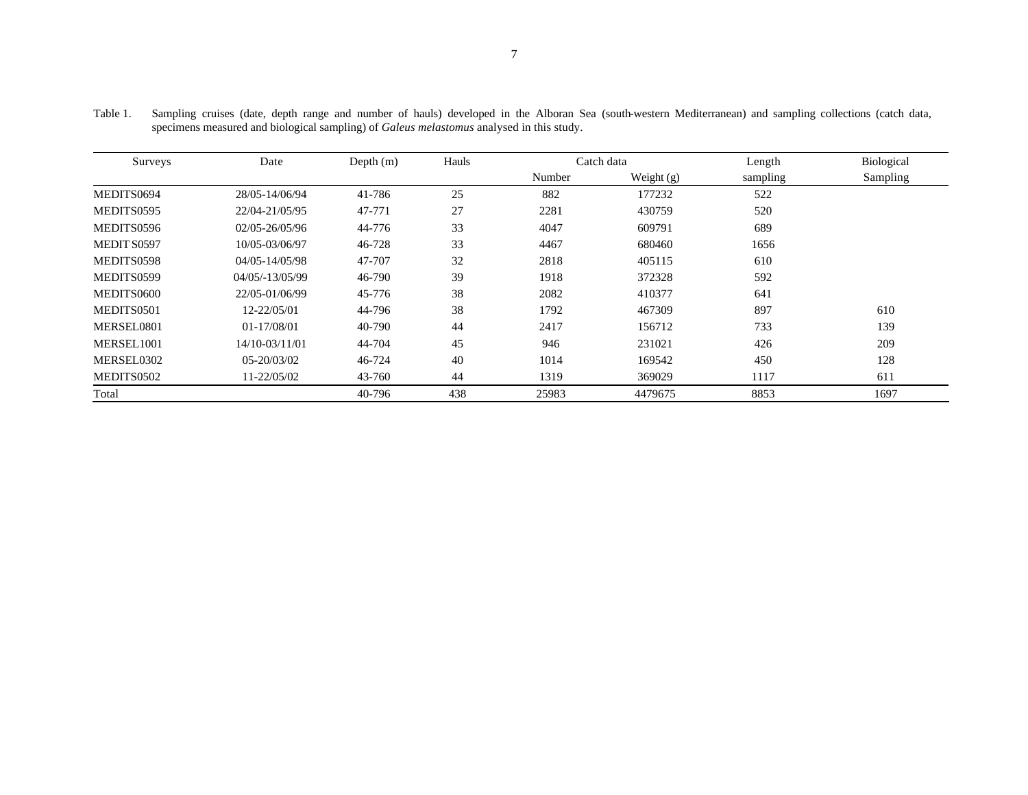| Surveys     | Date               | Depth $(m)$ | Hauls |        | Catch data   | Length   | Biological |
|-------------|--------------------|-------------|-------|--------|--------------|----------|------------|
|             |                    |             |       | Number | Weight $(g)$ | sampling | Sampling   |
| MEDITS0694  | 28/05-14/06/94     | 41-786      | 25    | 882    | 177232       | 522      |            |
| MEDITS0595  | 22/04-21/05/95     | 47-771      | 27    | 2281   | 430759       | 520      |            |
| MEDITS0596  | 02/05-26/05/96     | 44-776      | 33    | 4047   | 609791       | 689      |            |
| MEDIT S0597 | 10/05-03/06/97     | 46-728      | 33    | 4467   | 680460       | 1656     |            |
| MEDITS0598  | $04/05 - 14/05/98$ | 47-707      | 32    | 2818   | 405115       | 610      |            |
| MEDITS0599  | $04/05/-13/05/99$  | 46-790      | 39    | 1918   | 372328       | 592      |            |
| MEDITS0600  | 22/05-01/06/99     | 45-776      | 38    | 2082   | 410377       | 641      |            |
| MEDITS0501  | 12-22/05/01        | 44-796      | 38    | 1792   | 467309       | 897      | 610        |
| MERSEL0801  | 01-17/08/01        | 40-790      | 44    | 2417   | 156712       | 733      | 139        |
| MERSEL1001  | 14/10-03/11/01     | 44-704      | 45    | 946    | 231021       | 426      | 209        |
| MERSEL0302  | $05 - 20/03/02$    | 46-724      | 40    | 1014   | 169542       | 450      | 128        |
| MEDITS0502  | 11-22/05/02        | 43-760      | 44    | 1319   | 369029       | 1117     | 611        |
| Total       |                    | 40-796      | 438   | 25983  | 4479675      | 8853     | 1697       |

Table 1. Sampling cruises (date, depth range and number of hauls) developed in the Alboran Sea (south-western Mediterranean) and sampling collections (catch data, specimens measured and biological sampling) of *Galeus melastomus* analysed in this study.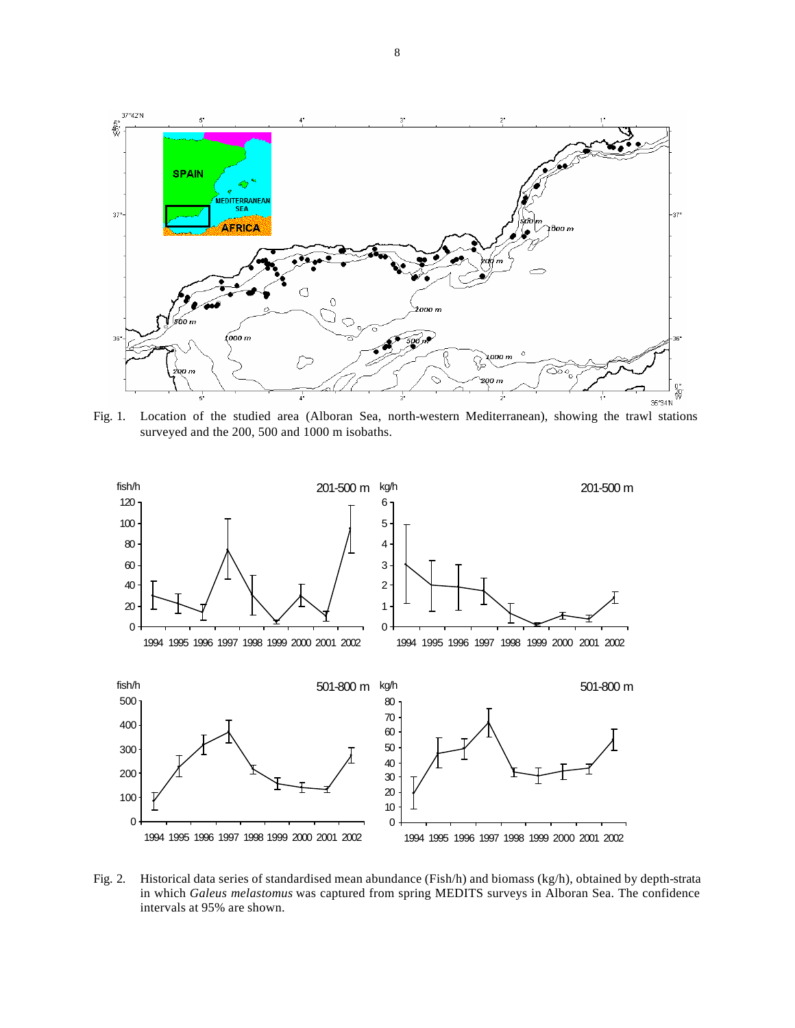

Fig. 1. Location of the studied area (Alboran Sea, north-western Mediterranean), showing the trawl stations surveyed and the 200, 500 and 1000 m isobaths.



Fig. 2. Historical data series of standardised mean abundance (Fish/h) and biomass (kg/h), obtained by depth-strata in which *Galeus melastomus* was captured from spring MEDITS surveys in Alboran Sea. The confidence intervals at 95% are shown.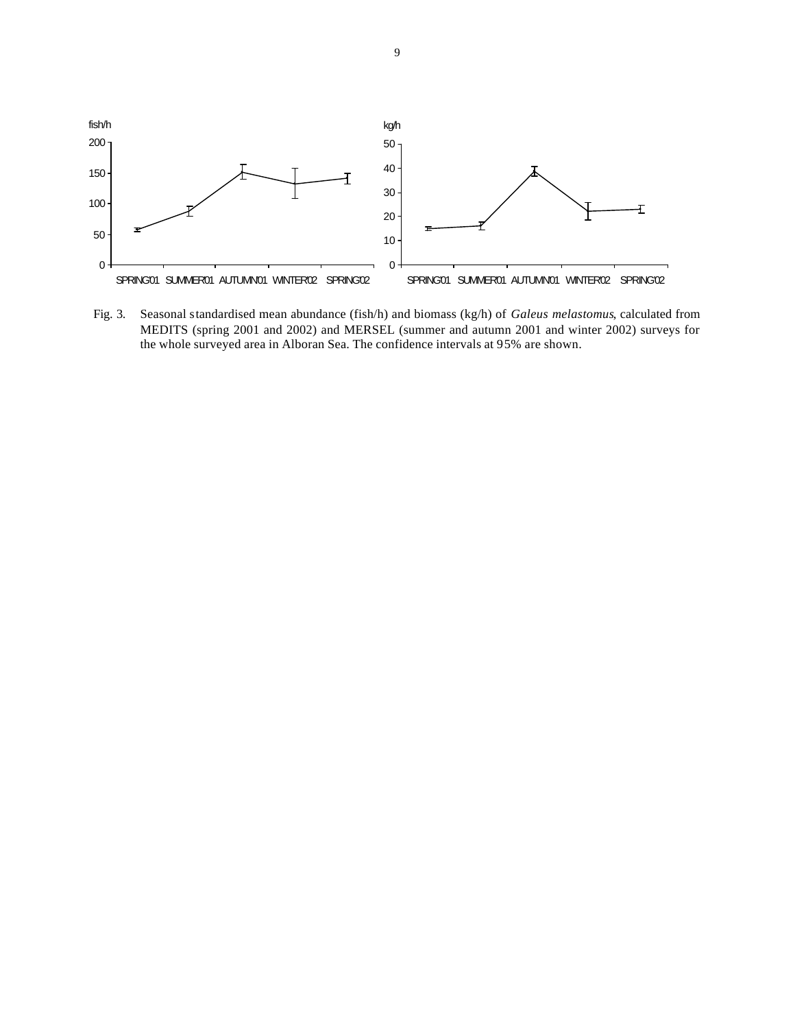

Fig. 3. Seasonal standardised mean abundance (fish/h) and biomass (kg/h) of *Galeus melastomus*, calculated from MEDITS (spring 2001 and 2002) and MERSEL (summer and autumn 2001 and winter 2002) surveys for the whole surveyed area in Alboran Sea. The confidence intervals at 95% are shown.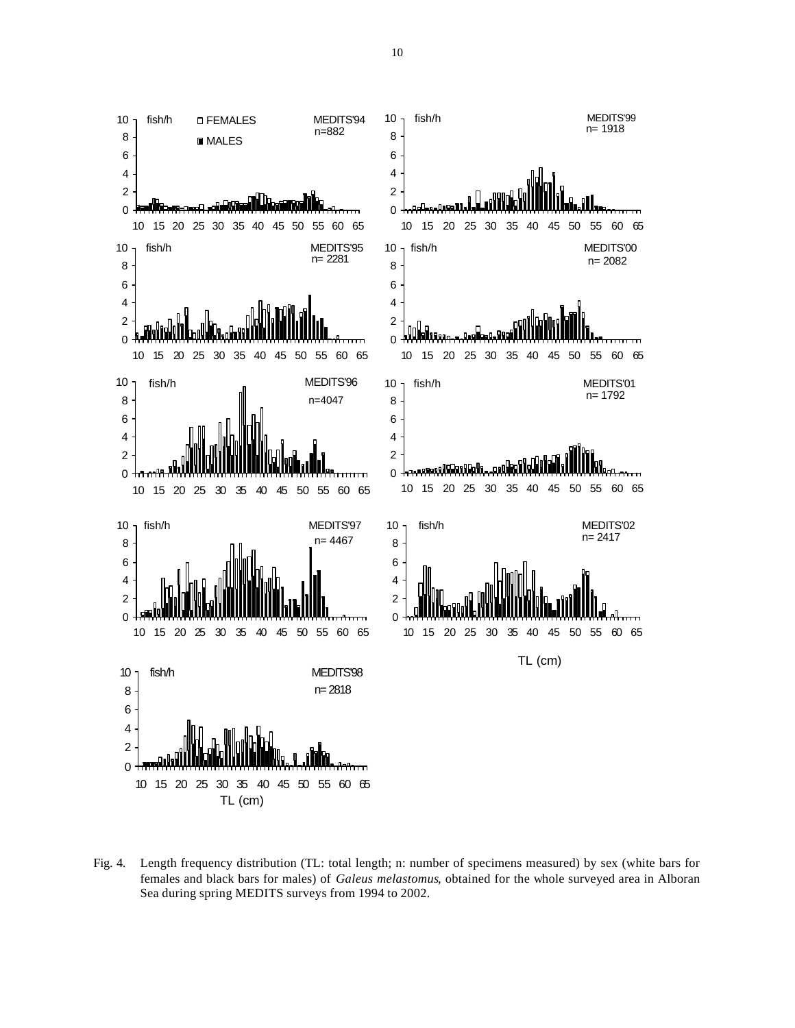

Fig. 4. Length frequency distribution (TL: total length; n: number of specimens measured) by sex (white bars for females and black bars for males) of *Galeus melastomus*, obtained for the whole surveyed area in Alboran Sea during spring MEDITS surveys from 1994 to 2002.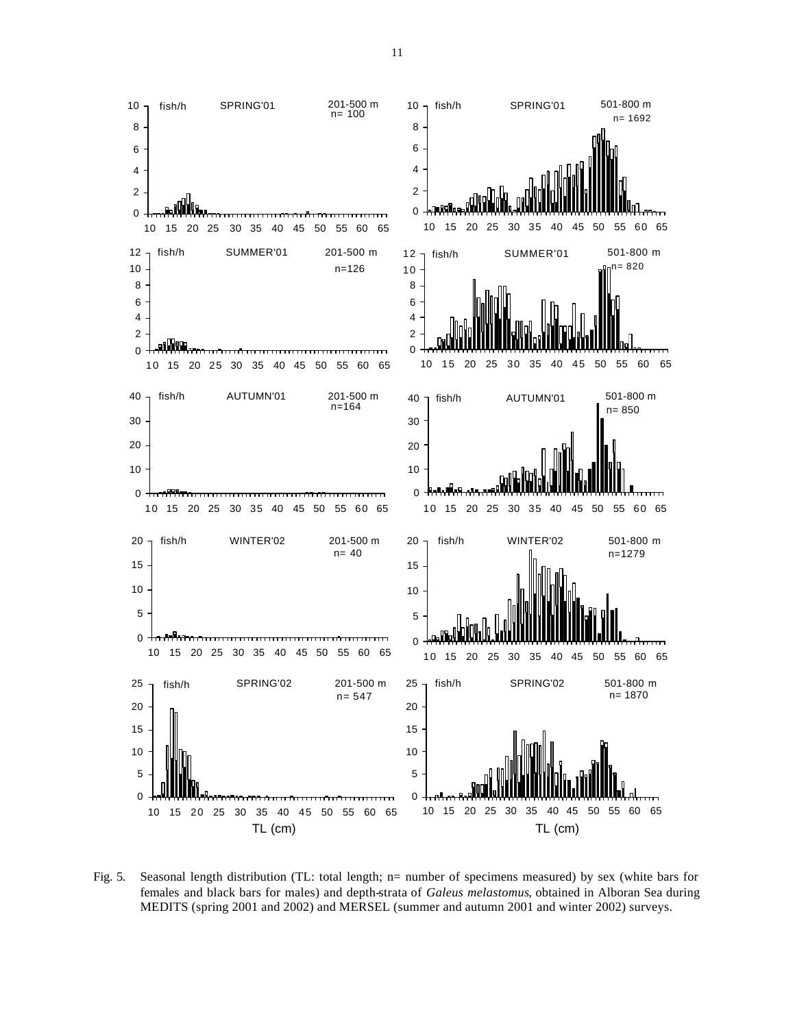

Fig. 5. Seasonal length distribution (TL: total length; n= number of specimens measured) by sex (white bars for females and black bars for males) and depth-strata of *Galeus melastomus*, obtained in Alboran Sea during MEDITS (spring 2001 and 2002) and MERSEL (summer and autumn 2001 and winter 2002) surveys.